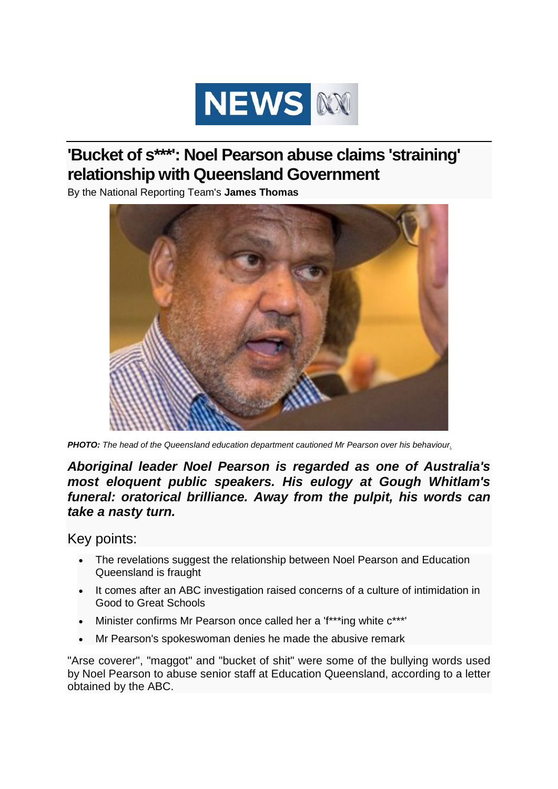

# **'Bucket of s\*\*\*': Noel Pearson abuse claims 'straining' relationship with Queensland Government**

By the National Reporting Team's **James Thomas**



*PHOTO: The head of the Queensland education department cautioned Mr Pearson over his behaviour.*

*Aboriginal leader Noel Pearson is regarded as one of Australia's most eloquent public speakers. His eulogy at Gough Whitlam's funeral: oratorical brilliance. Away from the pulpit, his words can take a nasty turn.*

Key points:

- The revelations suggest the relationship between Noel Pearson and Education Queensland is fraught
- It comes after an ABC investigation raised concerns of a culture of intimidation in Good to Great Schools
- Minister confirms Mr Pearson once called her a 'f\*\*\*ing white c\*\*\*'
- Mr Pearson's spokeswoman denies he made the abusive remark

"Arse coverer", "maggot" and "bucket of shit" were some of the bullying words used by Noel Pearson to abuse senior staff at Education Queensland, according to a letter obtained by the ABC.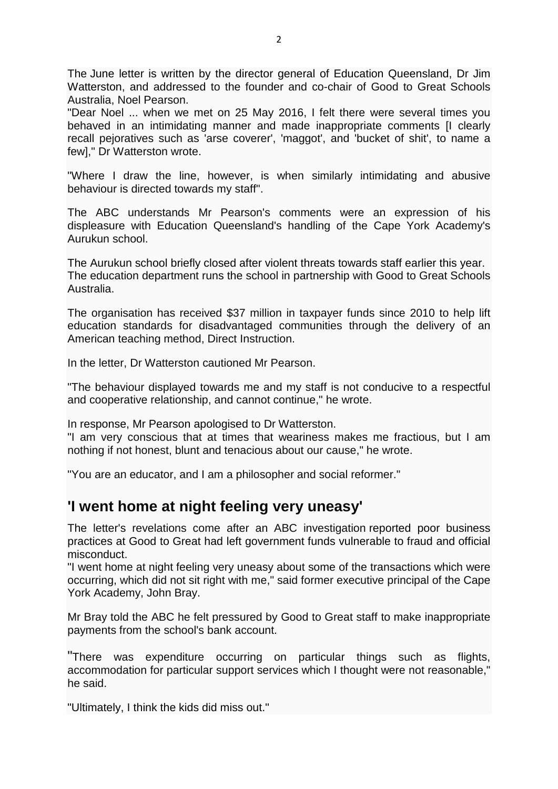The June letter is written by the director general of Education Queensland, Dr Jim Watterston, and addressed to the founder and co-chair of Good to Great Schools Australia, Noel Pearson.

"Dear Noel ... when we met on 25 May 2016, I felt there were several times you behaved in an intimidating manner and made inappropriate comments [I clearly recall pejoratives such as 'arse coverer', 'maggot', and 'bucket of shit', to name a few]," Dr Watterston wrote.

"Where I draw the line, however, is when similarly intimidating and abusive behaviour is directed towards my staff".

The ABC understands Mr Pearson's comments were an expression of his displeasure with Education Queensland's handling of the Cape York Academy's Aurukun school.

The Aurukun school briefly closed after violent threats towards staff earlier this year. The education department runs the school in partnership with Good to Great Schools Australia.

The organisation has received \$37 million in taxpayer funds since 2010 to help lift education standards for disadvantaged communities through the delivery of an American teaching method, Direct Instruction.

In the letter, Dr Watterston cautioned Mr Pearson.

"The behaviour displayed towards me and my staff is not conducive to a respectful and cooperative relationship, and cannot continue," he wrote.

In response, Mr Pearson apologised to Dr Watterston.

"I am very conscious that at times that weariness makes me fractious, but I am nothing if not honest, blunt and tenacious about our cause," he wrote.

"You are an educator, and I am a philosopher and social reformer."

#### **'I went home at night feeling very uneasy'**

The letter's revelations come after an ABC investigation reported poor business practices at Good to Great had left government funds vulnerable to fraud and official misconduct.

"I went home at night feeling very uneasy about some of the transactions which were occurring, which did not sit right with me," said former executive principal of the Cape York Academy, John Bray.

Mr Bray told the ABC he felt pressured by Good to Great staff to make inappropriate payments from the school's bank account.

"There was expenditure occurring on particular things such as flights, accommodation for particular support services which I thought were not reasonable," he said.

"Ultimately, I think the kids did miss out."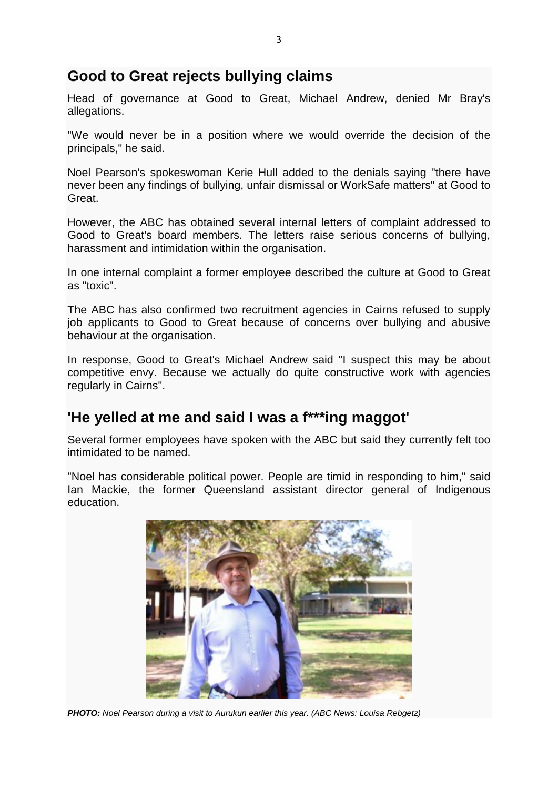## **Good to Great rejects bullying claims**

Head of governance at Good to Great, Michael Andrew, denied Mr Bray's allegations.

"We would never be in a position where we would override the decision of the principals," he said.

Noel Pearson's spokeswoman Kerie Hull added to the denials saying "there have never been any findings of bullying, unfair dismissal or WorkSafe matters" at Good to Great.

However, the ABC has obtained several internal letters of complaint addressed to Good to Great's board members. The letters raise serious concerns of bullying, harassment and intimidation within the organisation.

In one internal complaint a former employee described the culture at Good to Great as "toxic".

The ABC has also confirmed two recruitment agencies in Cairns refused to supply job applicants to Good to Great because of concerns over bullying and abusive behaviour at the organisation.

In response, Good to Great's Michael Andrew said "I suspect this may be about competitive envy. Because we actually do quite constructive work with agencies regularly in Cairns".

#### **'He yelled at me and said I was a f\*\*\*ing maggot'**

Several former employees have spoken with the ABC but said they currently felt too intimidated to be named.

"Noel has considerable political power. People are timid in responding to him," said Ian Mackie, the former Queensland assistant director general of Indigenous education.



*PHOTO: Noel Pearson during a visit to Aurukun earlier this year. (ABC News: Louisa Rebgetz)*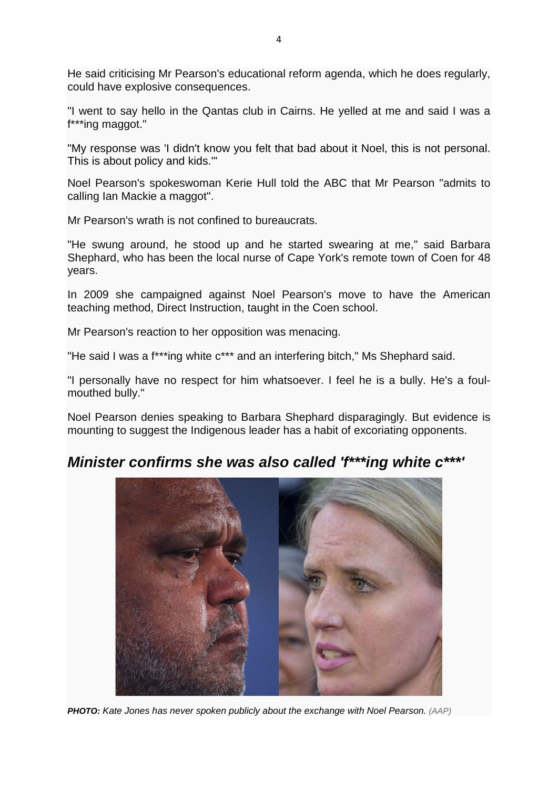He said criticising Mr Pearson's educational reform agenda, which he does regularly, could have explosive consequences.

"I went to say hello in the Qantas club in Cairns. He yelled at me and said I was a f\*\*\*ing maggot."

"My response was 'I didn't know you felt that bad about it Noel, this is not personal. This is about policy and kids.'"

Noel Pearson's spokeswoman Kerie Hull told the ABC that Mr Pearson "admits to calling Ian Mackie a maggot".

Mr Pearson's wrath is not confined to bureaucrats.

"He swung around, he stood up and he started swearing at me," said Barbara Shephard, who has been the local nurse of Cape York's remote town of Coen for 48 years.

In 2009 she campaigned against Noel Pearson's move to have the American teaching method, Direct Instruction, taught in the Coen school.

Mr Pearson's reaction to her opposition was menacing.

"He said I was a f\*\*\*ing white c\*\*\* and an interfering bitch," Ms Shephard said.

"I personally have no respect for him whatsoever. I feel he is a bully. He's a foulmouthed bully."

Noel Pearson denies speaking to Barbara Shephard disparagingly. But evidence is mounting to suggest the Indigenous leader has a habit of excoriating opponents.

## *Minister confirms she was also called 'f\*\*\*ing white c\*\*\*'*



*PHOTO: Kate Jones has never spoken publicly about the exchange with Noel Pearson. (AAP)*